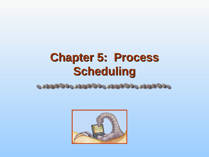# **Chapter 5: Process Scheduling**



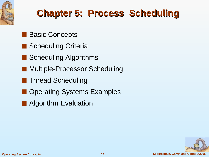

#### **Chapter 5: Process Scheduling**

- **Basic Concepts**
- Scheduling Criteria
- Scheduling Algorithms
- **Multiple-Processor Scheduling**
- Thread Scheduling
- **Operating Systems Examples**
- Algorithm Evaluation

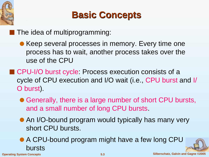

#### **Basic Concepts**

■ The idea of multiprogramming:

- Keep several processes in memory. Every time one process has to wait, another process takes over the use of the CPU
- CPU-I/O burst cycle: Process execution consists of a cycle of CPU execution and I/O wait (i.e., CPU burst and I/ O burst).
	- Generally, there is a large number of short CPU bursts, and a small number of long CPU bursts.
	- An I/O-bound program would typically has many very short CPU bursts.
	- A CPU-bound program might have a few long CPU bursts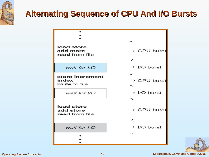

#### **Alternating Sequence of CPU And I/O Bursts**



**Operating System Concepts 5.4 Silberschatz, Galvin and Gagne ©2005**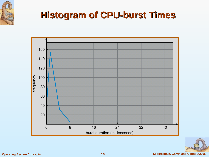

#### **Histogram of CPU-burst Times**



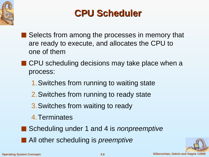

#### **CPU Scheduler**

- Selects from among the processes in memory that are ready to execute, and allocates the CPU to one of them
- CPU scheduling decisions may take place when a process:
	- 1.Switches from running to waiting state
	- 2.Switches from running to ready state
	- 3.Switches from waiting to ready
	- 4.Terminates
- Scheduling under 1 and 4 is *nonpreemptive*
- All other scheduling is *preemptive*

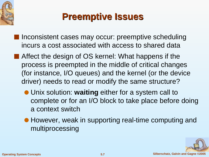



- Inconsistent cases may occur: preemptive scheduling incurs a cost associated with access to shared data
- Affect the design of OS kernel: What happens if the process is preempted in the middle of critical changes (for instance, I/O queues) and the kernel (or the device driver) needs to read or modify the same structure?
	- Unix solution: **waiting** either for a system call to complete or for an I/O block to take place before doing a context switch
	- However, weak in supporting real-time computing and multiprocessing

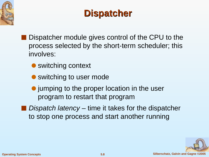



- Dispatcher module gives control of the CPU to the process selected by the short-term scheduler; this involves:
	- switching context
	- switching to user mode
	- jumping to the proper location in the user program to restart that program
- Dispatch latency time it takes for the dispatcher to stop one process and start another running

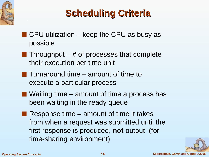

## **Scheduling Criteria**

- $\blacksquare$  CPU utilization keep the CPU as busy as possible
- **Throughput** # of processes that complete their execution per time unit
- **Turnaround time amount of time to** execute a particular process
- $\blacksquare$  Waiting time amount of time a process has been waiting in the ready queue
- $\blacksquare$  Response time amount of time it takes from when a request was submitted until the first response is produced, **not** output (for time-sharing environment)

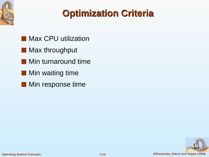



- Max CPU utilization
- Max throughput
- Min turnaround time
- Min waiting time
- Min response time

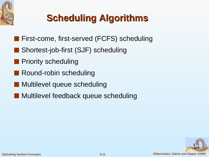

## **Scheduling Algorithms**

- First-come, first-served (FCFS) scheduling
- Shortest-job-first (SJF) scheduling
- **Priority scheduling**
- Round-robin scheduling
- Multilevel queue scheduling
- Multilevel feedback queue scheduling

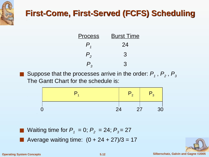

#### **First-Come, First-Served (FCFS) Scheduling**

| <b>Process</b>              | <b>Burst Time</b> |  |  |
|-----------------------------|-------------------|--|--|
| $\bm{\mathcal{P}}_{_4}$     | 24                |  |  |
| $P_{\scriptscriptstyle{2}}$ | 3                 |  |  |
| $\mathsf{P}_{_3}$           | 3                 |  |  |

■ Suppose that the processes arrive in the order:  $P_1$ ,  $P_2$ ,  $P_3$ The Gantt Chart for the schedule is:



■ Waiting time for  $P_1 = 0$ ;  $P_2 = 24$ ;  $P_3 = 27$ 

Average waiting time:  $(0 + 24 + 27)/3 = 17$ 

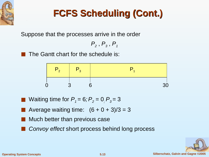

## **FCFS Scheduling (Cont.)**

Suppose that the processes arrive in the order

 $P_2$  ,  $P_3$  ,  $P_1$ 

The Gantt chart for the schedule is:



- Waiting time for  $P_1 = 6$ ;  $P_2 = 0$ ,  $P_3 = 3$ 
	- Average waiting time:  $(6 + 0 + 3)/3 = 3$
- Much better than previous case
- Convoy effect short process behind long process

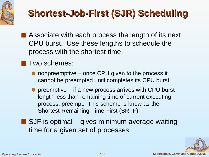

## **Shortest-Job-First (SJR) Scheduling**

- Associate with each process the length of its next CPU burst. Use these lengths to schedule the process with the shortest time
- Two schemes:
	- nonpreemptive once CPU given to the process it cannot be preempted until completes its CPU burst
	- $\bullet$  preemptive if a new process arrives with CPU burst length less than remaining time of current executing process, preempt. This scheme is know as the Shortest-Remaining-Time-First (SRTF)
- $\blacksquare$  SJF is optimal gives minimum average waiting time for a given set of processes

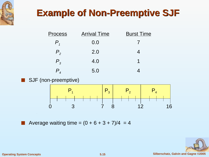

#### **Example of Non-Preemptive SJF**

| <u>Process</u> | <b>Arrival Time</b> | <b>Burst Time</b> |
|----------------|---------------------|-------------------|
| $P_{\tau}$     | 0.0                 |                   |
| $P_{2}$        | 2.0                 |                   |
| $P_{3}$        | 4.0                 |                   |
|                | 5.0                 |                   |

#### ■ SJF (non-preemptive)



Average waiting time =  $(0 + 6 + 3 + 7)/4 = 4$ 



**Operating System Concepts 5.15 Silberschatz, Galvin and Gagne ©2005**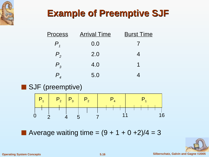

#### **Example of Preemptive SJF**

| <u>Process</u>     | <b>Arrival Time</b> | <b>Burst Time</b> |
|--------------------|---------------------|-------------------|
| $P_{\overline{1}}$ | 0.0                 |                   |
| $P_{2}$            | 2.0                 |                   |
| $P_{3}$            | 4.0                 | 1                 |
|                    | 5.0                 |                   |

■ SJF (preemptive)



■ Average waiting time =  $(9 + 1 + 0 +2)/4 = 3$ 

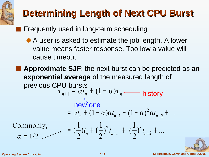## **Determining Length of Next CPU Burst**

■ Frequently used in long-term scheduling

- A user is asked to estimate the job length. A lower value means faster response. Too low a value will cause timeout.
- Approximate SJF: the next burst can be predicted as an **exponential average** of the measured length of previous CPU bursts  $\tau_{n+1} = \alpha t_n + (1 - \alpha) \tau_n$  history  $\int_0^3 t_{n-2} + ...$ 2 1  $\int_{0}^{2} t_{n-1} + ($ 2 1  $(t_{n} + ($ 2 1  $\left(\frac{1}{2}\right)t_n + \left(\frac{1}{2}\right)^2 t_{n-1} + \left(\frac{1}{2}\right)^3 t_{n-2}$  $\alpha t_n + (1 - \alpha) \alpha t_{n-1} + (1 - \alpha)^2 \alpha t_{n-2} + ...$ 3 1 2 2  $= \alpha t_n + (1 - \alpha) \alpha t_{n-1} + (1 - \alpha)^2 \alpha t_{n-2} +$  $= \left(\frac{1}{2}\right)t_n + \left(\frac{1}{2}\right)^2 t_{n-1} + \left(\frac{1}{2}\right)^3 t_{n-2} +$  $\alpha = 1/2$ Commonly, *α* <sup>=</sup> new one

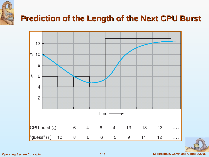

#### **Prediction of the Length of the Next CPU Burst**



#### **Operating System Concepts 5.18 Silberschatz, Galvin and Gagne ©2005**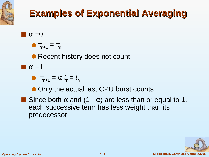

### **Examples of Exponential Averaging**

- $\blacksquare \alpha = 0$ 
	- $\bullet$   $\tau_{n+1} = \tau_n$

• Recent history does not count

 $\blacksquare$   $\alpha = 1$ 

•  $\tau_{n+1} = \alpha$   $t_n = t_n$ 

● Only the actual last CPU burst counts

**Since both**  $\alpha$  **and (1 -**  $\alpha$ **) are less than or equal to 1,** each successive term has less weight than its predecessor

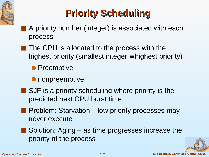

## **Priority Scheduling**

- A priority number (integer) is associated with each process
- The CPU is allocated to the process with the highest priority (smallest integer  $\equiv$  highest priority)

● Preemptive

- nonpreemptive
- SJF is a priority scheduling where priority is the predicted next CPU burst time
- Problem: Starvation low priority processes may never execute
- Solution: Aging as time progresses increase the priority of the process

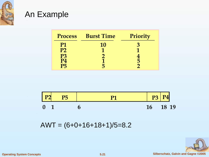

#### An Example

| <b>Process</b> | <b>Burst Time</b> | Priority |
|----------------|-------------------|----------|
| <b>P1</b>      | 10                |          |
| P <sub>2</sub> |                   |          |
| P3             |                   |          |
| $\mathbf{P}4$  |                   |          |
| P5             |                   |          |



 $AWT = (6+0+16+18+1)/5=8.2$ 

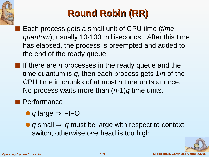

## **Round Robin (RR)**

- Each process gets a small unit of CPU time (time quantum), usually 10-100 milliseconds. After this time has elapsed, the process is preempted and added to the end of the ready queue.
- $\blacksquare$  If there are *n* processes in the ready queue and the time quantum is  $q$ , then each process gets  $1/n$  of the CPU time in chunks of at most q time units at once. No process waits more than  $(n-1)q$  time units.

#### ■ Performance

- $\bullet$  q large  $\Rightarrow$  FIFO
- q small  $\Rightarrow$  q must be large with respect to context switch, otherwise overhead is too high

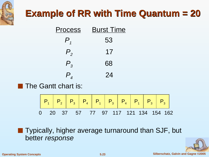

#### **Example of RR with Time Quantum = 20**

| <u>Process</u>                | <b>Burst Time</b> |  |  |
|-------------------------------|-------------------|--|--|
| $P_{\scriptscriptstyle 1}$    | 53                |  |  |
| $P_{2}$                       | 17                |  |  |
| $P_{3}$                       | 68                |  |  |
| $\bm{\mathsf{P}}_{_{\bm{4}}}$ | 24                |  |  |

■ The Gantt chart is:



■ Typically, higher average turnaround than SJF, but better response

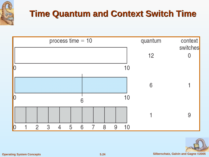

#### **Time Quantum and Context Switch Time**



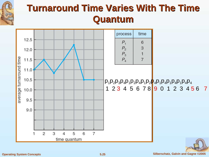

#### **Turnaround Time Varies With The Time Quantum**

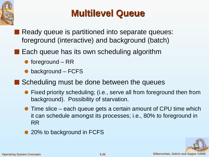

#### **Multilevel Queue**

- Ready queue is partitioned into separate queues: foreground (interactive) and background (batch)
- Each queue has its own scheduling algorithm
	- $\bullet$  foreground RR
	- background FCFS
- Scheduling must be done between the queues
	- Fixed priority scheduling; (i.e., serve all from foreground then from background). Possibility of starvation.
	- Time slice each queue gets a certain amount of CPU time which it can schedule amongst its processes; i.e., 80% to foreground in RR
	- 20% to background in FCFS

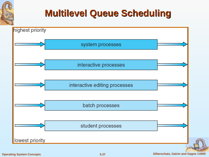

#### **Multilevel Queue Scheduling**

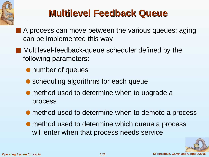

#### **Multilevel Feedback Queue**

- A process can move between the various queues; aging can be implemented this way
- Multilevel-feedback-queue scheduler defined by the following parameters:
	- number of queues
	- scheduling algorithms for each queue
	- method used to determine when to upgrade a process
	- method used to determine when to demote a process
	- method used to determine which queue a process will enter when that process needs service

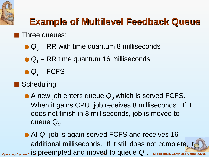

## **Example of Multilevel Feedback Queue**

#### Three queues:

- $\bullet$  Q<sub>0</sub> RR with time quantum 8 milliseconds
- $\bullet$   $Q_1$  RR time quantum 16 milliseconds
- $\bullet$  Q<sub>2</sub> FCFS
- Scheduling
	- A new job enters queue  $Q_0$  which is served FCFS. When it gains CPU, job receives 8 milliseconds. If it does not finish in 8 milliseconds, job is moved to queue Q<sub>1</sub>.

 $\sigma$ <sub>Derating System  $\rm{co}$  **is preempted and moved to queue**  $\rm{Q}_{2}$ **.** Silberschatz, Galvin and Gagne @2005</sub>  $\bullet$  At  $Q_1$  job is again served FCFS and receives 16 additional milliseconds. If it still does not complete, it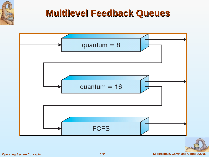

#### **Multilevel Feedback Queues**



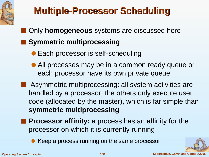

## **Multiple-Processor Scheduling**

- Only **homogeneous** systems are discussed here
- Symmetric multiprocessing
	- Each processor is self-scheduling
	- All processes may be in a common ready queue or each processor have its own private queue
- Asymmetric multiprocessing: all system activities are handled by a processor, the others only execute user code (allocated by the master), which is far simple than **symmetric multiprocessing**
- **Processor affinity:** a process has an affinity for the processor on which it is currently running
	- Keep a process running on the same processor

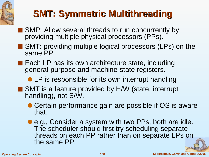

### **SMT: Symmetric Multithreading**

- SMP: Allow several threads to run concurrently by providing multiple physical processors (PPs).
- SMT: providing multiple logical processors (LPs) on the same PP.
- Each LP has its own architecture state, including general-purpose and machine-state registers.
	- LP is responsible for its own interrupt handling
- SMT is a feature provided by H/W (state, interrupt handling), not S/W.
	- Certain performance gain are possible if OS is aware that.
	- e.g., Consider a system with two PPs, both are idle. The scheduler should first try scheduling separate threads on each PP rather than on separate LPs on the same PP.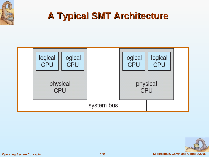

#### **A Typical SMT Architecture**



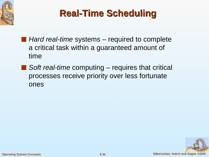

#### **Real-Time Scheduling**

- *Hard real-time* systems required to complete a critical task within a guaranteed amount of time
- $\blacksquare$  Soft real-time computing requires that critical processes receive priority over less fortunate ones

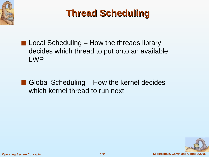



- $\blacksquare$  Local Scheduling How the threads library decides which thread to put onto an available LWP
- Global Scheduling How the kernel decides which kernel thread to run next

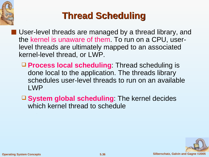

## **Thread Scheduling**

- User-level threads are managed by a thread library, and the kernel is unaware of them. To run on a CPU, userlevel threads are ultimately mapped to an associated kernel-level thread, or LWP.
	- **Process local scheduling**: Thread scheduling is done local to the application. The threads library schedules user-level threads to run on an available LWP
	- □ **System global scheduling**: The kernel decides which kernel thread to schedule

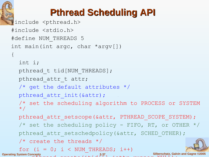

### **Pthread Scheduling API**

```
Operating System Concepts 5.37 Silberschatz, Galvin and Gagne ©2005
  #include <pthread.h>
  #include <stdio.h>
  #define NUM_THREADS 5
  int main(int argc, char *argv[])
   {
     int i;
     pthread t tid[NUM THREADS];
     pthread attr t attr;
     /* get the default attributes */
     pthread attr init(&attr);
     /* set the scheduling algorithm to PROCESS or SYSTEM 
     \star /
     pthread attr setscope(&attr, PTHREAD SCOPE SYSTEM);
     \frac{1}{x} set the scheduling policy - FIFO, RT, or OTHER \frac{x}{x}pthread attr setschedpolicy(&attr, SCHED OTHER);
     \frac{1}{x} create the threads \frac{x}{x}for (i = 0; i < NUM THREADS; i++)
          position and \rho reads to (e + i d)^{n+1}, e + i r, runners, \rho is N[III];
```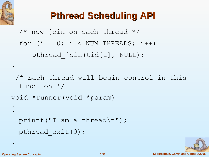

## **Pthread Scheduling API**

```
/* now join on each thread */
  for (i = 0; i < NUM THREADS; i++)
     pthread join(tid[i], NULL);
}
 /* Each thread will begin control in this 
  function */
void *runner(void *param)
{ 
 printf("I am a thread\n");
 pthread exit(0);
}
```
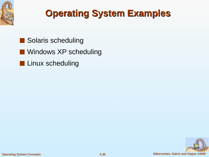

#### **Operating System Examples**

- Solaris scheduling
- Windows XP scheduling
- Linux scheduling

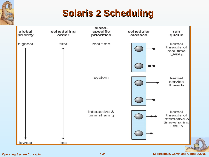

#### **Solaris 2 Scheduling**

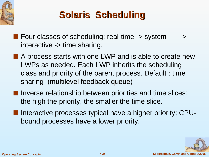

### **Solaris Scheduling**

- Four classes of scheduling: real-time -> system → interactive -> time sharing.
- A process starts with one LWP and is able to create new LWPs as needed. Each LWP inherits the scheduling class and priority of the parent process. Default : time sharing (multilevel feedback queue)
- Inverse relationship between priorities and time slices: the high the priority, the smaller the time slice.
- Interactive processes typical have a higher priority; CPUbound processes have a lower priority.

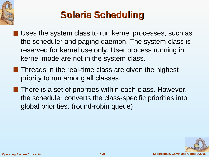

## **Solaris Scheduling**

- Uses the system class to run kernel processes, such as the scheduler and paging daemon. The system class is reserved for kernel use only. User process running in kernel mode are not in the system class.
- Threads in the real-time class are given the highest priority to run among all classes.
- There is a set of priorities within each class. However, the scheduler converts the class-specific priorities into global priorities. (round-robin queue)

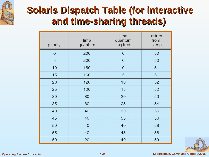

#### **Solaris Dispatch Table (for interactive and time-sharing threads)**

| priority    | time<br>quantum | time<br>quantum<br>expired | return<br>from<br>sleep |  |
|-------------|-----------------|----------------------------|-------------------------|--|
| $\mathbf 0$ | 200             | $\mathbf 0$                | 50                      |  |
| 5           | 200             | $\mathbf 0$                | 50                      |  |
| 10          | 160             | $\overline{0}$             | 51                      |  |
| 15          | 160             | 5                          | 51                      |  |
| 20          | 120             | 10                         | 52                      |  |
| 25          | 120             | 15                         | 52                      |  |
| 30          | 80              | 20                         | 53                      |  |
| 35          | 80              | 25                         | 54                      |  |
| 40          | 40              | 30                         | 55                      |  |
| 45          | 40              | 35                         | 56                      |  |
| 50          | 40              | 40                         | 58                      |  |
| 55          | 40              | 45<br>58                   |                         |  |
| 59          | 20              | 49                         | 59                      |  |

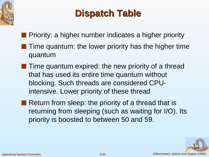

#### **Dispatch Table**

■ Priority: a higher number indicates a higher priority

- Time quantum: the lower priority has the higher time quantum
- Time quantum expired: the new priority of a thread that has used its entire time quantum without blocking. Such threads are considered CPUintensive. Lower priority of these thread
- Return from sleep: the priority of a thread that is returning from sleeping (such as waiting for I/O). Its priority is boosted to between 50 and 59.

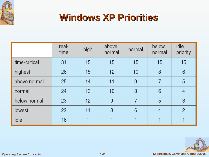

#### **Windows XP Priorities**

|               | real-<br>time | high | above<br>normal | normal | below<br>normal | idle<br>priority |
|---------------|---------------|------|-----------------|--------|-----------------|------------------|
| time-critical | 31            | 15   | 15              | 15     | 15              | 15               |
| highest       | 26            | 15   | 12              | 10     | 8               | 6                |
| above normal  | 25            | 14   | 11              | 9      | 7               | 5                |
| normal        | 24            | 13   | 10              | 8      | 6               | 4                |
| below normal  | 23            | 12   | 9               |        | 5               | 3                |
| lowest        | 22            | 11   | 8               | 6      | 4               | $\overline{2}$   |
| idle          | 16            |      |                 |        |                 |                  |

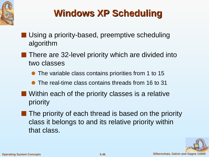

## **Windows XP Scheduling**

- Using a priority-based, preemptive scheduling algorithm
	- There are 32-level priority which are divided into two classes
		- The variable class contains priorities from 1 to 15
		- The real-time class contains threads from 16 to 31
- Within each of the priority classes is a relative priority
- The priority of each thread is based on the priority class it belongs to and its relative priority within that class.

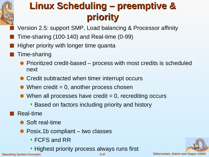

#### **Linux Scheduling – preemptive & priority**

Version 2.5: support SMP, Load balancing & Processor affinity

- Time-sharing  $(100-140)$  and Real-time  $(0-99)$
- Higher priority with longer time quanta
- Time-sharing
	- Prioritized credit-based process with most credits is scheduled next
	- Credit subtracted when timer interrupt occurs
	- $\bullet\,$  When credit = 0, another process chosen
	- $\bullet$  When all processes have credit = 0, recrediting occurs
		- Based on factors including priority and history
- Real-time
	- Soft real-time
	- Posix.1b compliant two classes
		- ▶ FCFS and RR
- **Operating System Concepts 5.47 Silberschatz, Galvin and Gagne ©2005** ▸ Highest priority process always runs first

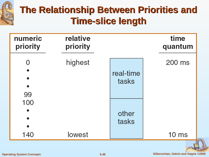

#### **The Relationship Between Priorities and Time-slice length**

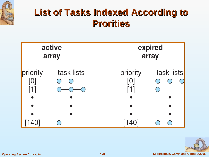

#### **List of Tasks Indexed According to Prorities**



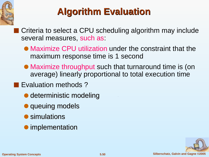

#### **Algorithm Evaluation**

Criteria to select a CPU scheduling algorithm may include several measures, such as:

- Maximize CPU utilization under the constraint that the maximum response time is 1 second
- Maximize throughput such that turnaround time is (on average) linearly proportional to total execution time
- Evaluation methods?
	- deterministic modeling
	- queuing models
	- simulations
	- implementation

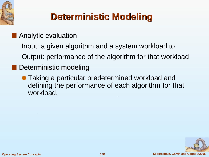

## **Deterministic Modeling**

■ Analytic evaluation

Input: a given algorithm and a system workload to

- Output: performance of the algorithm for that workload
- Deterministic modeling
	- Taking a particular predetermined workload and defining the performance of each algorithm for that workload.

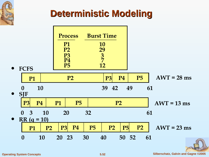

#### **Deterministic Modeling**

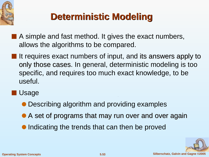

## **Deterministic Modeling**

- A simple and fast method. It gives the exact numbers, allows the algorithms to be compared.
- It requires exact numbers of input, and its answers apply to only those cases. In general, deterministic modeling is too specific, and requires too much exact knowledge, to be useful.
- **Usage** 
	- Describing algorithm and providing examples
	- A set of programs that may run over and over again
	- Indicating the trends that can then be proved

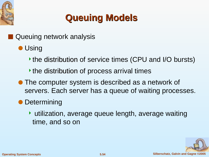

#### **Queuing Models**

- Queuing network analysis
	- Using
		- the distribution of service times (CPU and I/O bursts)
		- $\rightarrow$  the distribution of process arrival times
	- The computer system is described as a network of servers. Each server has a queue of waiting processes.
	- Determining
		- utilization, average queue length, average waiting time, and so on

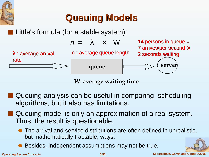

#### **Queuing Models**

Little's formula (for a stable system):

$$
n = \lambda \times W
$$



n : average queue length **queue server** λ : average arrival rate

**W: average waiting time**

- Queuing analysis can be useful in comparing scheduling algorithms, but it also has limitations.
- Queuing model is only an approximation of a real system. Thus, the result is questionable.
	- The arrival and service distributions are often defined in unrealistic, but mathematically tractable, ways.
	- Besides, independent assumptions may not be true.

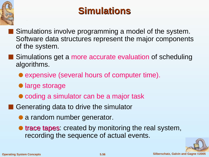

#### **Simulations**

- Simulations involve programming a model of the system. Software data structures represent the major components of the system.
- Simulations get a more accurate evaluation of scheduling algorithms.
	- expensive (several hours of computer time).
	- large storage
	- coding a simulator can be a major task
- Generating data to drive the simulator
	- a random number generator.
	- trace tapes: created by monitoring the real system, recording the sequence of actual events.

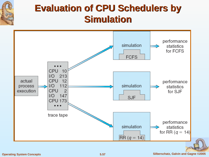

#### **Evaluation of CPU Schedulers by Simulation**



#### **Operating System Concepts 5.57 Silberschatz, Galvin and Gagne ©2005**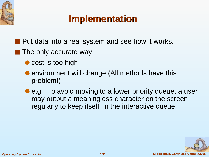

#### **Implementation**

- Put data into a real system and see how it works.
- The only accurate way
	- cost is too high
	- environment will change (All methods have this problem!)
	- e.g., To avoid moving to a lower priority queue, a user may output a meaningless character on the screen regularly to keep itself in the interactive queue.

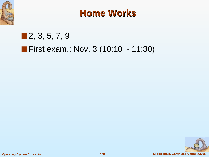

#### **Home Works**

#### ■ 2, 3, 5, 7, 9

#### ■ First exam.: Nov. 3 (10:10 ~ 11:30)